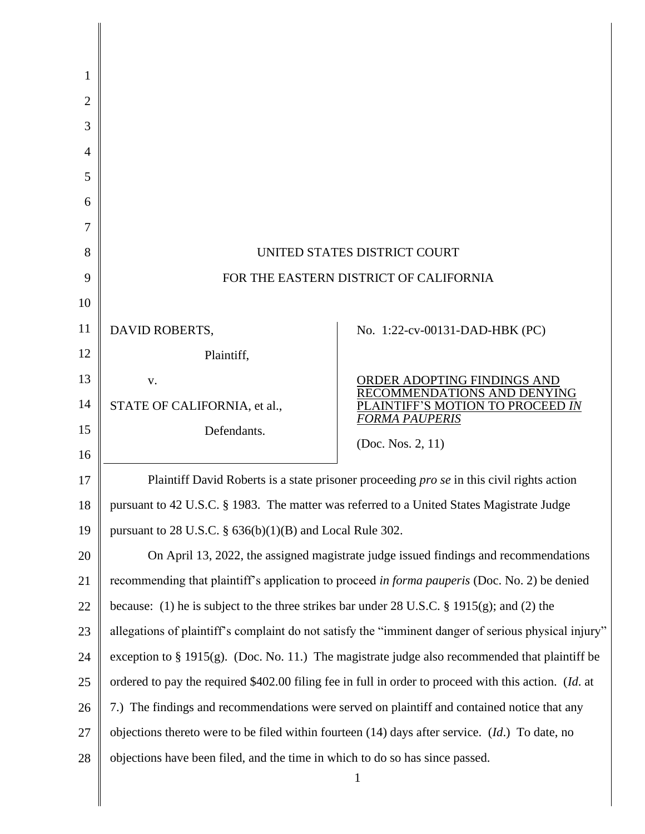| 1  |                                                                                                       |                                                                |
|----|-------------------------------------------------------------------------------------------------------|----------------------------------------------------------------|
| 2  |                                                                                                       |                                                                |
| 3  |                                                                                                       |                                                                |
| 4  |                                                                                                       |                                                                |
| 5  |                                                                                                       |                                                                |
| 6  |                                                                                                       |                                                                |
| 7  |                                                                                                       |                                                                |
| 8  | UNITED STATES DISTRICT COURT                                                                          |                                                                |
| 9  | FOR THE EASTERN DISTRICT OF CALIFORNIA                                                                |                                                                |
| 10 |                                                                                                       |                                                                |
| 11 | DAVID ROBERTS,                                                                                        | No. 1:22-cv-00131-DAD-HBK (PC)                                 |
| 12 | Plaintiff,                                                                                            |                                                                |
| 13 | V.                                                                                                    | ORDER ADOPTING FINDINGS AND                                    |
| 14 | STATE OF CALIFORNIA, et al.,                                                                          | <b>ENDATIONS AND DENYING</b><br>AINTIFF'S MOTION TO PROCEED IN |
| 15 | Defendants.                                                                                           | <b>FORMA PAUPERIS</b>                                          |
| 16 |                                                                                                       | (Doc. Nos. 2, 11)                                              |
| 17 | Plaintiff David Roberts is a state prisoner proceeding pro se in this civil rights action             |                                                                |
| 18 | pursuant to 42 U.S.C. § 1983. The matter was referred to a United States Magistrate Judge             |                                                                |
| 19 | pursuant to 28 U.S.C. $\S$ 636(b)(1)(B) and Local Rule 302.                                           |                                                                |
| 20 | On April 13, 2022, the assigned magistrate judge issued findings and recommendations                  |                                                                |
| 21 | recommending that plaintiff's application to proceed in forma pauperis (Doc. No. 2) be denied         |                                                                |
| 22 | because: (1) he is subject to the three strikes bar under 28 U.S.C. § 1915(g); and (2) the            |                                                                |
| 23 | allegations of plaintiff's complaint do not satisfy the "imminent danger of serious physical injury"  |                                                                |
| 24 | exception to $\S 1915(g)$ . (Doc. No. 11.) The magistrate judge also recommended that plaintiff be    |                                                                |
| 25 | ordered to pay the required \$402.00 filing fee in full in order to proceed with this action. (Id. at |                                                                |
| 26 | 7.) The findings and recommendations were served on plaintiff and contained notice that any           |                                                                |
| 27 | objections thereto were to be filed within fourteen $(14)$ days after service. $(Id.)$ To date, no    |                                                                |
| 28 | objections have been filed, and the time in which to do so has since passed.                          |                                                                |
|    |                                                                                                       | $\mathbf{1}$                                                   |